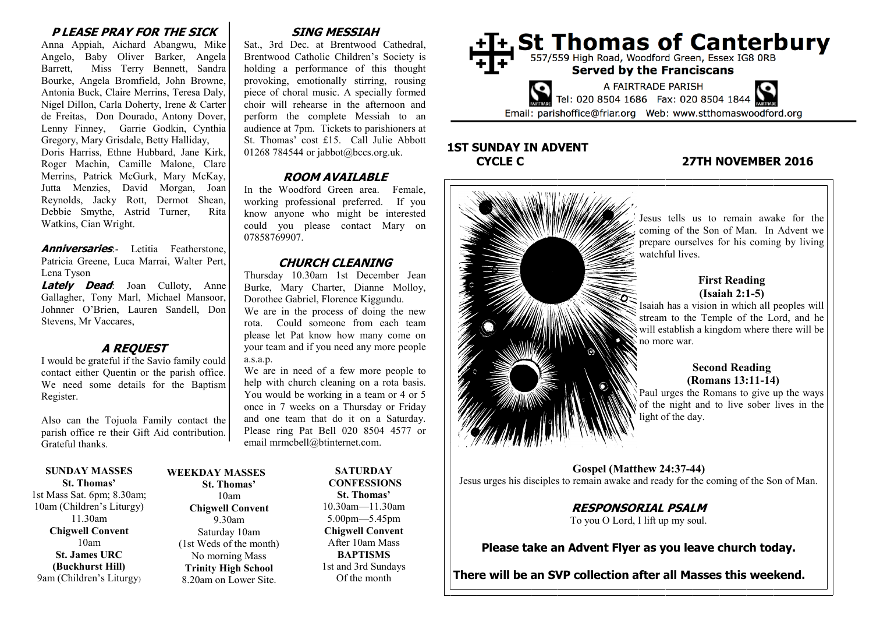## **P LEASE PRAY FOR THE SICK**

Anna Appiah, Aichard Abangwu, Mike Angelo, Baby Oliver Barker, Angela Barrett, Miss Terry Bennett, Sandra Bourke, Angela Bromfield, John Browne, Antonia Buck, Claire Merrins, Teresa Daly, Nigel Dillon, Carla Doherty, Irene & Carter de Freitas, Don Dourado, Antony Dover, Lenny Finney, Garrie Godkin, Cynthia Gregory, Mary Grisdale, Betty Halliday, Doris Harriss, Ethne Hubbard, Jane Kirk, Roger Machin, Camille Malone, Clare Merrins, Patrick McGurk, Mary McKay, Jutta Menzies, David Morgan, Joan Reynolds, Jacky Rott, Dermot Shean, Debbie Smythe, Astrid Turner, Rita

**Anniversaries.** Letitia Featherstone, Patricia Greene, Luca Marrai, Walter Pert, Lena Tyson

**Lately Dead**: Joan Culloty, Anne Gallagher, Tony Marl, Michael Mansoor, Johnner O'Brien, Lauren Sandell, Don Stevens, Mr Vaccares,

## **A REQUEST**

I would be grateful if the Savio family could contact either Quentin or the parish office. We need some details for the Baptism Register.

Also can the Tojuola Family contact the parish office re their Gift Aid contribution. Grateful thanks.

**SUNDAY MASSES St. Thomas'**

Watkins, Cian Wright.

1st Mass Sat. 6pm; 8.30am; 10am (Children's Liturgy) 11.30am **Chigwell Convent** 10am **St. James URC (Buckhurst Hill)** 9am (Children's Liturgy)

#### **St. Thomas'** 10am **Chigwell Convent** 9.30am Saturday 10am (1st Weds of the month) No morning Mass **Trinity High School** 8.20am on Lower Site.

**WEEKDAY MASSES**

# **SING MESSIAH**

Sat., 3rd Dec. at Brentwood Cathedral, Brentwood Catholic Children's Society is holding a performance of this thought provoking, emotionally stirring, rousing piece of choral music. A specially formed choir will rehearse in the afternoon and perform the complete Messiah to an audience at 7pm. Tickets to parishioners at St. Thomas' cost £15. Call Julie Abbott 01268 784544 or jabbot@bccs.org.uk.

# **ROOM AVAILABLE**

In the Woodford Green area. Female, working professional preferred. If you know anyone who might be interested could you please contact Mary on 07858769907.

#### **CHURCH CLEANING**

Thursday 10.30am 1st December Jean Burke, Mary Charter, Dianne Molloy, Dorothee Gabriel, Florence Kiggundu.

We are in the process of doing the new rota. Could someone from each team please let Pat know how many come on your team and if you need any more people a.s.a.p.

We are in need of a few more people to help with church cleaning on a rota basis. You would be working in a team or 4 or 5 once in 7 weeks on a Thursday or Friday and one team that do it on a Saturday. Please ring Pat Bell 020 8504 4577 or email mrmcbell@btinternet.com.

> **SATURDAY CONFESSIONS St. Thomas'** 10.30am—11.30am 5.00pm—5.45pm **Chigwell Convent** After 10am Mass **BAPTISMS** 1st and 3rd Sundays Of the month



# **1ST SUNDAY IN ADVENT**

# **CYCLE C 27TH NOVEMBER 2016**



Jesus urges his disciples to remain awake and ready for the coming of the Son of Man.

**RESPONSORIAL PSALM** To you O Lord, I lift up my soul.

**Please take an Advent Flyer as you leave church today.**

**There will be an SVP collection after all Masses this weekend.**